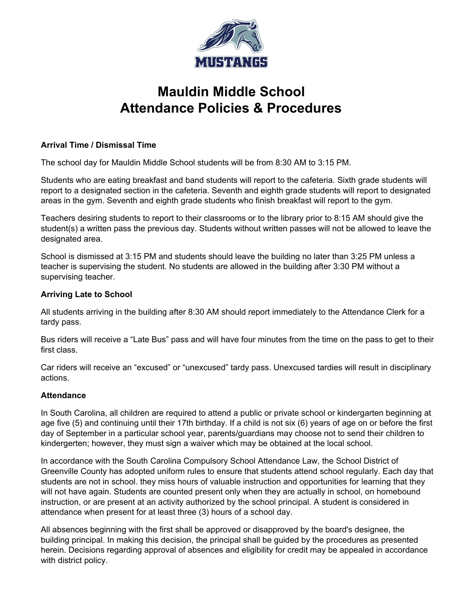

# **Mauldin Middle School Attendance Policies & Procedures**

## **Arrival Time / Dismissal Time**

The school day for Mauldin Middle School students will be from 8:30 AM to 3:15 PM.

Students who are eating breakfast and band students will report to the cafeteria. Sixth grade students will report to a designated section in the cafeteria. Seventh and eighth grade students will report to designated areas in the gym. Seventh and eighth grade students who finish breakfast will report to the gym.

Teachers desiring students to report to their classrooms or to the library prior to 8:15 AM should give the student(s) a written pass the previous day. Students without written passes will not be allowed to leave the designated area.

School is dismissed at 3:15 PM and students should leave the building no later than 3:25 PM unless a teacher is supervising the student. No students are allowed in the building after 3:30 PM without a supervising teacher.

### **Arriving Late to School**

All students arriving in the building after 8:30 AM should report immediately to the Attendance Clerk for a tardy pass.

Bus riders will receive a "Late Bus" pass and will have four minutes from the time on the pass to get to their first class.

Car riders will receive an "excused" or "unexcused" tardy pass. Unexcused tardies will result in disciplinary actions.

## **Attendance**

In South Carolina, all children are required to attend a public or private school or kindergarten beginning at age five (5) and continuing until their 17th birthday. If a child is not six (6) years of age on or before the first day of September in a particular school year, parents/guardians may choose not to send their children to kindergerten; however, they must sign a waiver which may be obtained at the local school.

In accordance with the South Carolina Compulsory School Attendance Law, the School District of Greenville County has adopted uniform rules to ensure that students attend school regularly. Each day that students are not in school. they miss hours of valuable instruction and opportunities for learning that they will not have again. Students are counted present only when they are actually in school, on homebound instruction, or are present at an activity authorized by the school principal. A student is considered in attendance when present for at least three (3) hours of a school day.

All absences beginning with the first shall be approved or disapproved by the board's designee, the building principal. In making this decision, the principal shall be guided by the procedures as presented herein. Decisions regarding approval of absences and eligibility for credit may be appealed in accordance with district policy.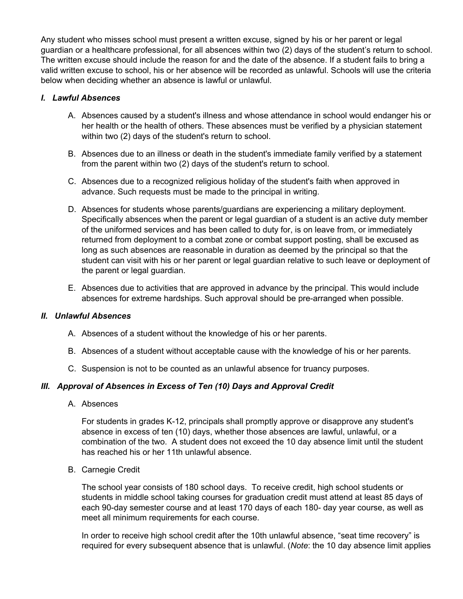Any student who misses school must present a written excuse, signed by his or her parent or legal guardian or a healthcare professional, for all absences within two (2) days of the student's return to school. The written excuse should include the reason for and the date of the absence. If a student fails to bring a valid written excuse to school, his or her absence will be recorded as unlawful. Schools will use the criteria below when deciding whether an absence is lawful or unlawful.

## *I. Lawful Absences*

- A. Absences caused by a student's illness and whose attendance in school would endanger his or her health or the health of others. These absences must be verified by a physician statement within two (2) days of the student's return to school.
- B. Absences due to an illness or death in the student's immediate family verified by a statement from the parent within two (2) days of the student's return to school.
- C. Absences due to a recognized religious holiday of the student's faith when approved in advance. Such requests must be made to the principal in writing.
- D. Absences for students whose parents/guardians are experiencing a military deployment. Specifically absences when the parent or legal guardian of a student is an active duty member of the uniformed services and has been called to duty for, is on leave from, or immediately returned from deployment to a combat zone or combat support posting, shall be excused as long as such absences are reasonable in duration as deemed by the principal so that the student can visit with his or her parent or legal guardian relative to such leave or deployment of the parent or legal guardian.
- E. Absences due to activities that are approved in advance by the principal. This would include absences for extreme hardships. Such approval should be pre-arranged when possible.

## *II. Unlawful Absences*

- A. Absences of a student without the knowledge of his or her parents.
- B. Absences of a student without acceptable cause with the knowledge of his or her parents.
- C. Suspension is not to be counted as an unlawful absence for truancy purposes.

# *III. Approval of Absences in Excess of Ten (10) Days and Approval Credit*

A. Absences

For students in grades K-12, principals shall promptly approve or disapprove any student's absence in excess of ten (10) days, whether those absences are lawful, unlawful, or a combination of the two. A student does not exceed the 10 day absence limit until the student has reached his or her 11th unlawful absence.

B. Carnegie Credit

The school year consists of 180 school days. To receive credit, high school students or students in middle school taking courses for graduation credit must attend at least 85 days of each 90-day semester course and at least 170 days of each 180- day year course, as well as meet all minimum requirements for each course.

In order to receive high school credit after the 10th unlawful absence, "seat time recovery" is required for every subsequent absence that is unlawful. (*Note*: the 10 day absence limit applies